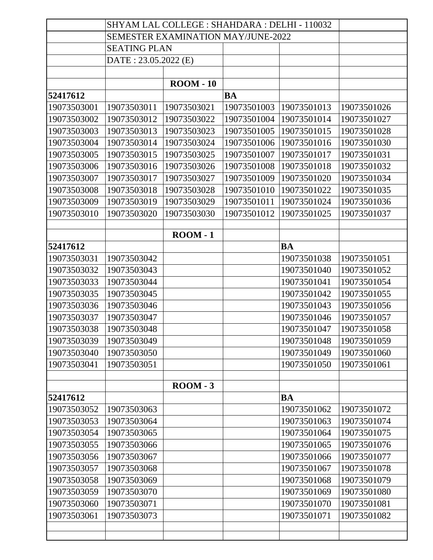|             | SHYAM LAL COLLEGE : SHAHDARA : DELHI - 110032 |                  |             |             |             |
|-------------|-----------------------------------------------|------------------|-------------|-------------|-------------|
|             | <b>SEMESTER EXAMINATION MAY/JUNE-2022</b>     |                  |             |             |             |
|             | <b>SEATING PLAN</b>                           |                  |             |             |             |
|             | DATE: 23.05.2022 (E)                          |                  |             |             |             |
|             |                                               |                  |             |             |             |
|             |                                               | <b>ROOM - 10</b> |             |             |             |
| 52417612    |                                               |                  | <b>BA</b>   |             |             |
| 19073503001 | 19073503011                                   | 19073503021      | 19073501003 | 19073501013 | 19073501026 |
| 19073503002 | 19073503012                                   | 19073503022      | 19073501004 | 19073501014 | 19073501027 |
| 19073503003 | 19073503013                                   | 19073503023      | 19073501005 | 19073501015 | 19073501028 |
| 19073503004 | 19073503014                                   | 19073503024      | 19073501006 | 19073501016 | 19073501030 |
| 19073503005 | 19073503015                                   | 19073503025      | 19073501007 | 19073501017 | 19073501031 |
| 19073503006 | 19073503016                                   | 19073503026      | 19073501008 | 19073501018 | 19073501032 |
| 19073503007 | 19073503017                                   | 19073503027      | 19073501009 | 19073501020 | 19073501034 |
| 19073503008 | 19073503018                                   | 19073503028      | 19073501010 | 19073501022 | 19073501035 |
| 19073503009 | 19073503019                                   | 19073503029      | 19073501011 | 19073501024 | 19073501036 |
| 19073503010 | 19073503020                                   | 19073503030      | 19073501012 | 19073501025 | 19073501037 |
|             |                                               |                  |             |             |             |
|             |                                               | $\text{ROM} - 1$ |             |             |             |
| 52417612    |                                               |                  |             | <b>BA</b>   |             |
| 19073503031 | 19073503042                                   |                  |             | 19073501038 | 19073501051 |
| 19073503032 | 19073503043                                   |                  |             | 19073501040 | 19073501052 |
| 19073503033 | 19073503044                                   |                  |             | 19073501041 | 19073501054 |
| 19073503035 | 19073503045                                   |                  |             | 19073501042 | 19073501055 |
| 19073503036 | 19073503046                                   |                  |             | 19073501043 | 19073501056 |
| 19073503037 | 19073503047                                   |                  |             | 19073501046 | 19073501057 |
| 19073503038 | 19073503048                                   |                  |             | 19073501047 | 19073501058 |
| 19073503039 | 19073503049                                   |                  |             | 19073501048 | 19073501059 |
| 19073503040 | 19073503050                                   |                  |             | 19073501049 | 19073501060 |
| 19073503041 | 19073503051                                   |                  |             | 19073501050 | 19073501061 |
|             |                                               |                  |             |             |             |
|             |                                               | $\text{ROM} - 3$ |             |             |             |
| 52417612    |                                               |                  |             | BA          |             |
| 19073503052 | 19073503063                                   |                  |             | 19073501062 | 19073501072 |
| 19073503053 | 19073503064                                   |                  |             | 19073501063 | 19073501074 |
| 19073503054 | 19073503065                                   |                  |             | 19073501064 | 19073501075 |
| 19073503055 | 19073503066                                   |                  |             | 19073501065 | 19073501076 |
| 19073503056 | 19073503067                                   |                  |             | 19073501066 | 19073501077 |
| 19073503057 | 19073503068                                   |                  |             | 19073501067 | 19073501078 |
| 19073503058 | 19073503069                                   |                  |             | 19073501068 | 19073501079 |
| 19073503059 | 19073503070                                   |                  |             | 19073501069 | 19073501080 |
| 19073503060 | 19073503071                                   |                  |             | 19073501070 | 19073501081 |
| 19073503061 | 19073503073                                   |                  |             | 19073501071 | 19073501082 |
|             |                                               |                  |             |             |             |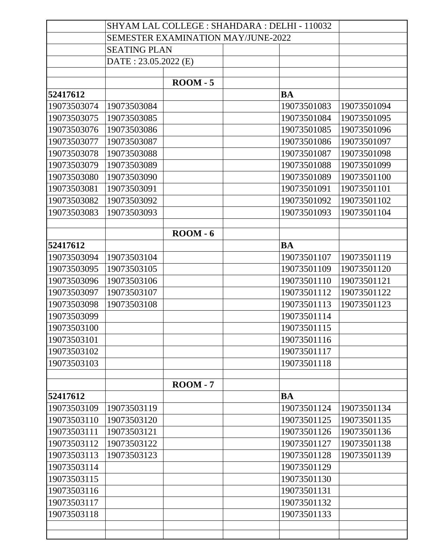|             | SHYAM LAL COLLEGE : SHAHDARA : DELHI - 110032 |                  |             |             |
|-------------|-----------------------------------------------|------------------|-------------|-------------|
|             | <b>SEMESTER EXAMINATION MAY/JUNE-2022</b>     |                  |             |             |
|             | <b>SEATING PLAN</b>                           |                  |             |             |
|             | DATE: 23.05.2022 (E)                          |                  |             |             |
|             |                                               |                  |             |             |
|             |                                               | $\text{ROM} - 5$ |             |             |
| 52417612    |                                               |                  | <b>BA</b>   |             |
| 19073503074 | 19073503084                                   |                  | 19073501083 | 19073501094 |
| 19073503075 | 19073503085                                   |                  | 19073501084 | 19073501095 |
| 19073503076 | 19073503086                                   |                  | 19073501085 | 19073501096 |
| 19073503077 | 19073503087                                   |                  | 19073501086 | 19073501097 |
| 19073503078 | 19073503088                                   |                  | 19073501087 | 19073501098 |
| 19073503079 | 19073503089                                   |                  | 19073501088 | 19073501099 |
| 19073503080 | 19073503090                                   |                  | 19073501089 | 19073501100 |
| 19073503081 | 19073503091                                   |                  | 19073501091 | 19073501101 |
| 19073503082 | 19073503092                                   |                  | 19073501092 | 19073501102 |
| 19073503083 | 19073503093                                   |                  | 19073501093 | 19073501104 |
|             |                                               |                  |             |             |
|             |                                               | $\text{ROM} - 6$ |             |             |
| 52417612    |                                               |                  | <b>BA</b>   |             |
| 19073503094 | 19073503104                                   |                  | 19073501107 | 19073501119 |
| 19073503095 | 19073503105                                   |                  | 19073501109 | 19073501120 |
| 19073503096 | 19073503106                                   |                  | 19073501110 | 19073501121 |
| 19073503097 | 19073503107                                   |                  | 19073501112 | 19073501122 |
| 19073503098 | 19073503108                                   |                  | 19073501113 | 19073501123 |
| 19073503099 |                                               |                  | 19073501114 |             |
| 19073503100 |                                               |                  | 19073501115 |             |
| 19073503101 |                                               |                  | 19073501116 |             |
| 19073503102 |                                               |                  | 19073501117 |             |
| 19073503103 |                                               |                  | 19073501118 |             |
|             |                                               | $\text{ROM} - 7$ |             |             |
| 52417612    |                                               |                  | BA          |             |
| 19073503109 | 19073503119                                   |                  | 19073501124 | 19073501134 |
| 19073503110 | 19073503120                                   |                  | 19073501125 | 19073501135 |
| 19073503111 | 19073503121                                   |                  | 19073501126 | 19073501136 |
| 19073503112 | 19073503122                                   |                  | 19073501127 | 19073501138 |
| 19073503113 | 19073503123                                   |                  | 19073501128 | 19073501139 |
| 19073503114 |                                               |                  | 19073501129 |             |
| 19073503115 |                                               |                  | 19073501130 |             |
| 19073503116 |                                               |                  | 19073501131 |             |
| 19073503117 |                                               |                  | 19073501132 |             |
| 19073503118 |                                               |                  | 19073501133 |             |
|             |                                               |                  |             |             |
|             |                                               |                  |             |             |